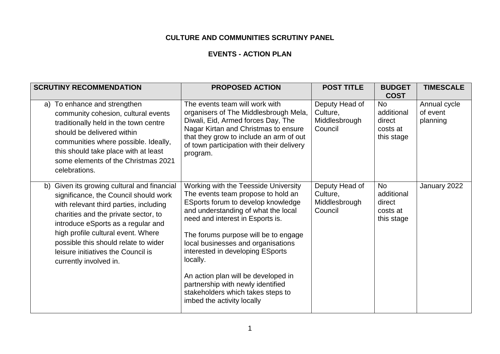## **CULTURE AND COMMUNITIES SCRUTINY PANEL**

## **EVENTS - ACTION PLAN**

| <b>SCRUTINY RECOMMENDATION</b>                                                                                                                                                                                                                                                                                                                             | <b>PROPOSED ACTION</b>                                                                                                                                                                                                                                                                                                                                                                                                                                                   | <b>POST TITLE</b>                                      | <b>BUDGET</b><br><b>COST</b>                                | <b>TIMESCALE</b>                     |
|------------------------------------------------------------------------------------------------------------------------------------------------------------------------------------------------------------------------------------------------------------------------------------------------------------------------------------------------------------|--------------------------------------------------------------------------------------------------------------------------------------------------------------------------------------------------------------------------------------------------------------------------------------------------------------------------------------------------------------------------------------------------------------------------------------------------------------------------|--------------------------------------------------------|-------------------------------------------------------------|--------------------------------------|
| a) To enhance and strengthen<br>community cohesion, cultural events<br>traditionally held in the town centre<br>should be delivered within<br>communities where possible. Ideally,<br>this should take place with at least<br>some elements of the Christmas 2021<br>celebrations.                                                                         | The events team will work with<br>organisers of The Middlesbrough Mela,<br>Diwali, Eid, Armed forces Day, The<br>Nagar Kirtan and Christmas to ensure<br>that they grow to include an arm of out<br>of town participation with their delivery<br>program.                                                                                                                                                                                                                | Deputy Head of<br>Culture,<br>Middlesbrough<br>Council | <b>No</b><br>additional<br>direct<br>costs at<br>this stage | Annual cycle<br>of event<br>planning |
| b) Given its growing cultural and financial<br>significance, the Council should work<br>with relevant third parties, including<br>charities and the private sector, to<br>introduce eSports as a regular and<br>high profile cultural event. Where<br>possible this should relate to wider<br>leisure initiatives the Council is<br>currently involved in. | Working with the Teesside University<br>The events team propose to hold an<br>ESports forum to develop knowledge<br>and understanding of what the local<br>need and interest in Esports is.<br>The forums purpose will be to engage<br>local businesses and organisations<br>interested in developing ESports<br>locally.<br>An action plan will be developed in<br>partnership with newly identified<br>stakeholders which takes steps to<br>imbed the activity locally | Deputy Head of<br>Culture,<br>Middlesbrough<br>Council | <b>No</b><br>additional<br>direct<br>costs at<br>this stage | January 2022                         |